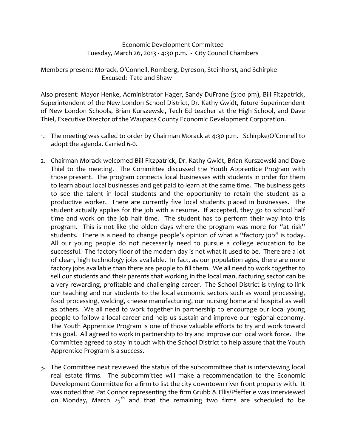Economic Development Committee Tuesday, March 26, 2013 ‐ 4:30 p.m. ‐ City Council Chambers

Members present: Morack, O'Connell, Romberg, Dyreson, Steinhorst, and Schirpke Excused: Tate and Shaw

Also present: Mayor Henke, Administrator Hager, Sandy DuFrane (5:00 pm), Bill Fitzpatrick, Superintendent of the New London School District, Dr. Kathy Gwidt, future Superintendent of New London Schools, Brian Kurszewski, Tech Ed teacher at the High School, and Dave Thiel, Executive Director of the Waupaca County Economic Development Corporation.

- 1. The meeting was called to order by Chairman Morack at 4:30 p.m. Schirpke/O'Connell to adopt the agenda. Carried 6‐0.
- 2. Chairman Morack welcomed Bill Fitzpatrick, Dr. Kathy Gwidt, Brian Kurszewski and Dave Thiel to the meeting. The Committee discussed the Youth Apprentice Program with those present. The program connects local businesses with students in order for them to learn about local businesses and get paid to learn at the same time. The business gets to see the talent in local students and the opportunity to retain the student as a productive worker. There are currently five local students placed in businesses. The student actually applies for the job with a resume. If accepted, they go to school half time and work on the job half time. The student has to perform their way into this program. This is not like the olden days where the program was more for "at risk" students. There is a need to change people's opinion of what a "factory job" is today. All our young people do not necessarily need to pursue a college education to be successful. The factory floor of the modern day is not what it used to be. There are a lot of clean, high technology jobs available. In fact, as our population ages, there are more factory jobs available than there are people to fill them. We all need to work together to sell our students and their parents that working in the local manufacturing sector can be a very rewarding, profitable and challenging career. The School District is trying to link our teaching and our students to the local economic sectors such as wood processing, food processing, welding, cheese manufacturing, our nursing home and hospital as well as others. We all need to work together in partnership to encourage our local young people to follow a local career and help us sustain and improve our regional economy. The Youth Apprentice Program is one of those valuable efforts to try and work toward this goal. All agreed to work in partnership to try and improve our local work force. The Committee agreed to stay in touch with the School District to help assure that the Youth Apprentice Program is a success.
- 3. The Committee next reviewed the status of the subcommittee that is interviewing local real estate firms. The subcommittee will make a recommendation to the Economic Development Committee for a firm to list the city downtown river front property with. It was noted that Pat Connor representing the firm Grubb & Ellis/Pfefferle was interviewed on Monday, March  $25<sup>th</sup>$  and that the remaining two firms are scheduled to be